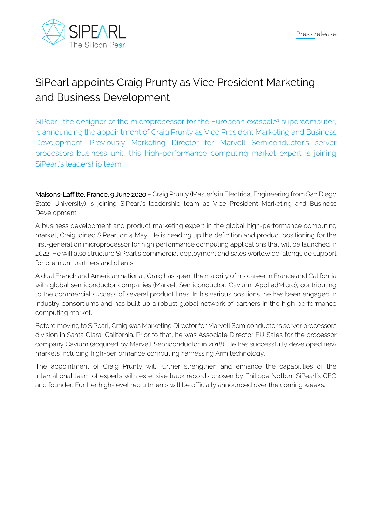

## SiPearl appoints Craig Prunty as Vice President Marketing and Business Development

SiPearl, the designer of the microprocessor for the European exascale<sup>[1](#page-1-0)</sup> supercomputer, is announcing the appointment of Craig Prunty as Vice President Marketing and Business Development. Previously Marketing Director for Marvell Semiconductor's server processors business unit, this high-performance computing market expert is joining SiPearl's leadership team.

Maisons-Laffitte, France, 9 June 2020 - Craig Prunty (Master's in Electrical Engineering from San Diego State University) is joining SiPearl's leadership team as Vice President Marketing and Business Development.

A business development and product marketing expert in the global high-performance computing market, Craig joined SiPearl on 4 May. He is heading up the definition and product positioning for the first-generation microprocessor for high performance computing applications that will be launched in 2022. He will also structure SiPearl's commercial deployment and sales worldwide, alongside support for premium partners and clients.

A dual French and American national, Craig has spent the majority of his career in France and California with global semiconductor companies (Marvell Semiconductor, Cavium, AppliedMicro), contributing to the commercial success of several product lines. In his various positions, he has been engaged in industry consortiums and has built up a robust global network of partners in the high-performance computing market.

Before moving to SiPearl, Craig was Marketing Director for Marvell Semiconductor's server processors division in Santa Clara, California. Prior to that, he was Associate Director EU Sales for the processor company Cavium (acquired by Marvell Semiconductor in 2018). He has successfully developed new markets including high-performance computing harnessing Arm technology.

The appointment of Craig Prunty will further strengthen and enhance the capabilities of the international team of experts with extensive track records chosen by Philippe Notton, SiPearl's CEO and founder. Further high-level recruitments will be officially announced over the coming weeks.